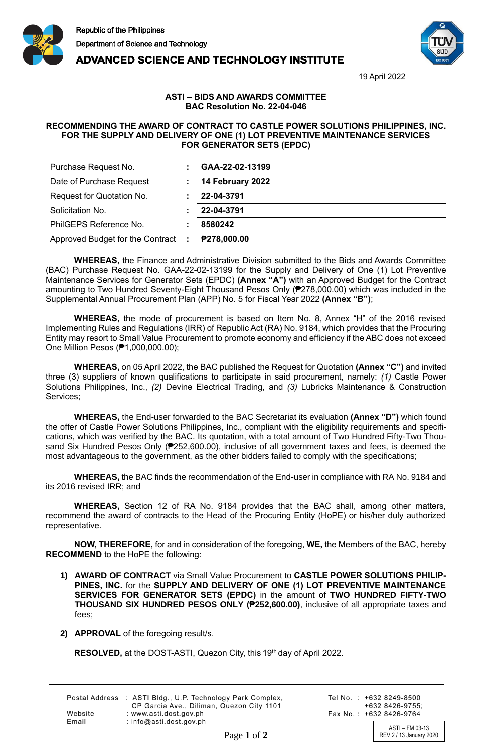





19 April 2022

## **ASTI – BIDS AND AWARDS COMMITTEE BAC Resolution No. 22-04-046**

## **RECOMMENDING THE AWARD OF CONTRACT TO CASTLE POWER SOLUTIONS PHILIPPINES, INC. FOR THE SUPPLY AND DELIVERY OF ONE (1) LOT PREVENTIVE MAINTENANCE SERVICES FOR GENERATOR SETS (EPDC)**

| Purchase Request No.                   | GAA-22-02-13199    |
|----------------------------------------|--------------------|
| Date of Purchase Request               | 14 February 2022   |
| Request for Quotation No.              | 22-04-3791         |
| Solicitation No.                       | 22-04-3791         |
| PhilGEPS Reference No.                 | 8580242            |
| Approved Budget for the Contract<br>÷. | <b>P278,000.00</b> |

**WHEREAS,** the Finance and Administrative Division submitted to the Bids and Awards Committee (BAC) Purchase Request No. GAA-22-02-13199 for the Supply and Delivery of One (1) Lot Preventive Maintenance Services for Generator Sets (EPDC) **(Annex "A")** with an Approved Budget for the Contract amounting to Two Hundred Seventy-Eight Thousand Pesos Only (₱278,000.00) which was included in the Supplemental Annual Procurement Plan (APP) No. 5 for Fiscal Year 2022 **(Annex "B")**;

**WHEREAS,** the mode of procurement is based on Item No. 8, Annex "H" of the 2016 revised Implementing Rules and Regulations (IRR) of Republic Act (RA) No. 9184, which provides that the Procuring Entity may resort to Small Value Procurement to promote economy and efficiency if the ABC does not exceed One Million Pesos (₱1,000,000.00);

**WHEREAS,** on 05 April 2022, the BAC published the Request for Quotation **(Annex "C")** and invited three (3) suppliers of known qualifications to participate in said procurement, namely: *(1)* Castle Power Solutions Philippines, Inc., *(2)* Devine Electrical Trading, and *(3)* Lubricks Maintenance & Construction Services;

**WHEREAS,** the End-user forwarded to the BAC Secretariat its evaluation **(Annex "D")** which found the offer of Castle Power Solutions Philippines, Inc., compliant with the eligibility requirements and specifications, which was verified by the BAC. Its quotation, with a total amount of Two Hundred Fifty-Two Thousand Six Hundred Pesos Only (₱252,600.00), inclusive of all government taxes and fees, is deemed the most advantageous to the government, as the other bidders failed to comply with the specifications;

**WHEREAS,** the BAC finds the recommendation of the End-user in compliance with RA No. 9184 and its 2016 revised IRR; and

**WHEREAS,** Section 12 of RA No. 9184 provides that the BAC shall, among other matters, recommend the award of contracts to the Head of the Procuring Entity (HoPE) or his/her duly authorized representative.

**NOW, THEREFORE,** for and in consideration of the foregoing, **WE,** the Members of the BAC, hereby **RECOMMEND** to the HoPE the following:

- **1) AWARD OF CONTRACT** via Small Value Procurement to **CASTLE POWER SOLUTIONS PHILIP-PINES, INC.** for the **SUPPLY AND DELIVERY OF ONE (1) LOT PREVENTIVE MAINTENANCE SERVICES FOR GENERATOR SETS (EPDC)** in the amount of **TWO HUNDRED FIFTY-TWO THOUSAND SIX HUNDRED PESOS ONLY (₱252,600.00)**, inclusive of all appropriate taxes and fees;
- **2) APPROVAL** of the foregoing result/s.

**RESOLVED,** at the DOST-ASTI, Quezon City, this 19<sup>th</sup> day of April 2022.